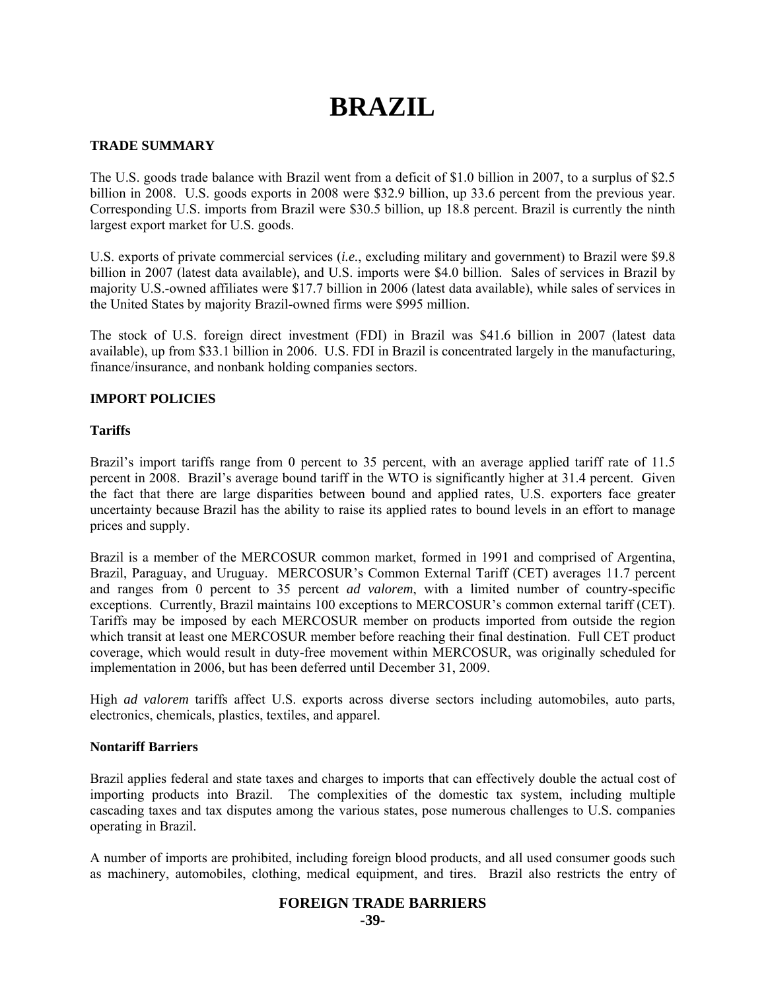# **BRAZIL**

# **TRADE SUMMARY**

The U.S. goods trade balance with Brazil went from a deficit of \$1.0 billion in 2007, to a surplus of \$2.5 billion in 2008. U.S. goods exports in 2008 were \$32.9 billion, up 33.6 percent from the previous year. Corresponding U.S. imports from Brazil were \$30.5 billion, up 18.8 percent. Brazil is currently the ninth largest export market for U.S. goods.

U.S. exports of private commercial services (*i.e.*, excluding military and government) to Brazil were \$9.8 billion in 2007 (latest data available), and U.S. imports were \$4.0 billion. Sales of services in Brazil by majority U.S.-owned affiliates were \$17.7 billion in 2006 (latest data available), while sales of services in the United States by majority Brazil-owned firms were \$995 million.

The stock of U.S. foreign direct investment (FDI) in Brazil was \$41.6 billion in 2007 (latest data available), up from \$33.1 billion in 2006. U.S. FDI in Brazil is concentrated largely in the manufacturing, finance/insurance, and nonbank holding companies sectors.

# **IMPORT POLICIES**

# **Tariffs**

Brazil's import tariffs range from 0 percent to 35 percent, with an average applied tariff rate of 11.5 percent in 2008. Brazil's average bound tariff in the WTO is significantly higher at 31.4 percent. Given the fact that there are large disparities between bound and applied rates, U.S. exporters face greater uncertainty because Brazil has the ability to raise its applied rates to bound levels in an effort to manage prices and supply.

Brazil is a member of the MERCOSUR common market, formed in 1991 and comprised of Argentina, Brazil, Paraguay, and Uruguay. MERCOSUR's Common External Tariff (CET) averages 11.7 percent and ranges from 0 percent to 35 percent *ad valorem*, with a limited number of country-specific exceptions. Currently, Brazil maintains 100 exceptions to MERCOSUR's common external tariff (CET). Tariffs may be imposed by each MERCOSUR member on products imported from outside the region which transit at least one MERCOSUR member before reaching their final destination. Full CET product coverage, which would result in duty-free movement within MERCOSUR, was originally scheduled for implementation in 2006, but has been deferred until December 31, 2009.

High *ad valorem* tariffs affect U.S. exports across diverse sectors including automobiles, auto parts, electronics, chemicals, plastics, textiles, and apparel.

# **Nontariff Barriers**

Brazil applies federal and state taxes and charges to imports that can effectively double the actual cost of importing products into Brazil. The complexities of the domestic tax system, including multiple cascading taxes and tax disputes among the various states, pose numerous challenges to U.S. companies operating in Brazil.

A number of imports are prohibited, including foreign blood products, and all used consumer goods such as machinery, automobiles, clothing, medical equipment, and tires. Brazil also restricts the entry of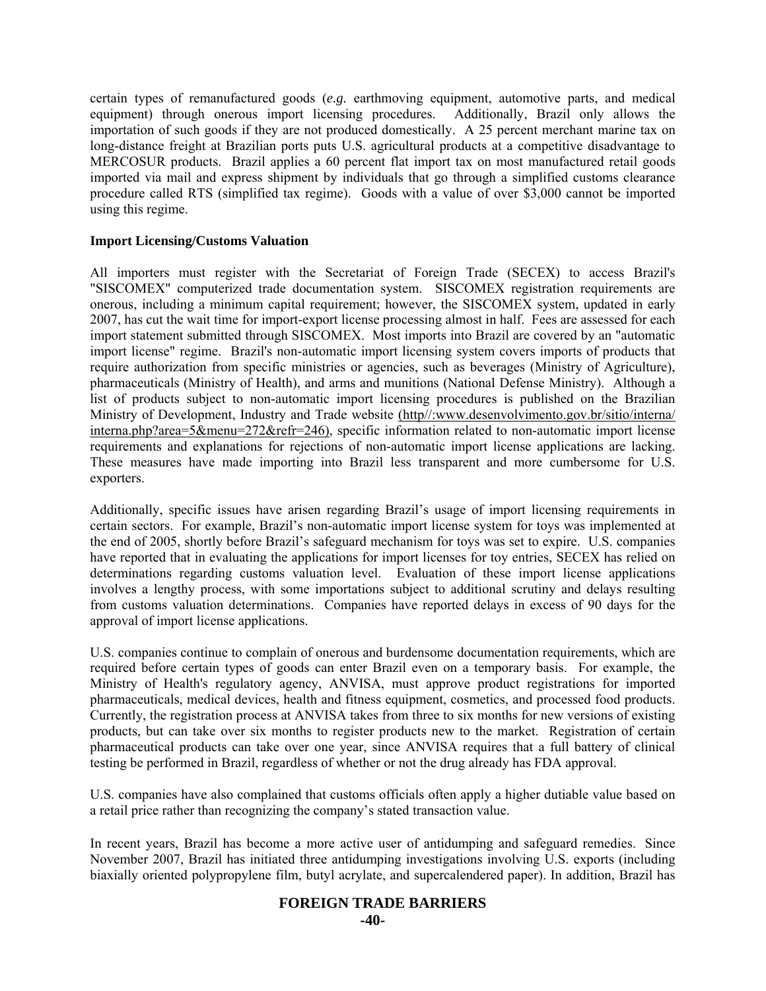certain types of remanufactured goods (*e.g.* earthmoving equipment, automotive parts, and medical equipment) through onerous import licensing procedures. Additionally, Brazil only allows the importation of such goods if they are not produced domestically. A 25 percent merchant marine tax on long-distance freight at Brazilian ports puts U.S. agricultural products at a competitive disadvantage to MERCOSUR products. Brazil applies a 60 percent flat import tax on most manufactured retail goods imported via mail and express shipment by individuals that go through a simplified customs clearance procedure called RTS (simplified tax regime). Goods with a value of over \$3,000 cannot be imported using this regime.

# **Import Licensing/Customs Valuation**

All importers must register with the Secretariat of Foreign Trade (SECEX) to access Brazil's "SISCOMEX" computerized trade documentation system. SISCOMEX registration requirements are onerous, including a minimum capital requirement; however, the SISCOMEX system, updated in early 2007, has cut the wait time for import-export license processing almost in half. Fees are assessed for each import statement submitted through SISCOMEX. Most imports into Brazil are covered by an "automatic import license" regime. Brazil's non-automatic import licensing system covers imports of products that require authorization from specific ministries or agencies, such as beverages (Ministry of Agriculture), pharmaceuticals (Ministry of Health), and arms and munitions (National Defense Ministry). Although a list of products subject to non-automatic import licensing procedures is published on the Brazilian Ministry of Development, Industry and Trade website (http//:www.desenvolvimento.gov.br/sitio/interna/ interna.php?area=5&menu=272&refr=246), specific information related to non-automatic import license requirements and explanations for rejections of non-automatic import license applications are lacking. These measures have made importing into Brazil less transparent and more cumbersome for U.S. exporters.

Additionally, specific issues have arisen regarding Brazil's usage of import licensing requirements in certain sectors. For example, Brazil's non-automatic import license system for toys was implemented at the end of 2005, shortly before Brazil's safeguard mechanism for toys was set to expire. U.S. companies have reported that in evaluating the applications for import licenses for toy entries, SECEX has relied on determinations regarding customs valuation level. Evaluation of these import license applications involves a lengthy process, with some importations subject to additional scrutiny and delays resulting from customs valuation determinations. Companies have reported delays in excess of 90 days for the approval of import license applications.

U.S. companies continue to complain of onerous and burdensome documentation requirements, which are required before certain types of goods can enter Brazil even on a temporary basis. For example, the Ministry of Health's regulatory agency, ANVISA, must approve product registrations for imported pharmaceuticals, medical devices, health and fitness equipment, cosmetics, and processed food products. Currently, the registration process at ANVISA takes from three to six months for new versions of existing products, but can take over six months to register products new to the market. Registration of certain pharmaceutical products can take over one year, since ANVISA requires that a full battery of clinical testing be performed in Brazil, regardless of whether or not the drug already has FDA approval.

U.S. companies have also complained that customs officials often apply a higher dutiable value based on a retail price rather than recognizing the company's stated transaction value.

In recent years, Brazil has become a more active user of antidumping and safeguard remedies. Since November 2007, Brazil has initiated three antidumping investigations involving U.S. exports (including biaxially oriented polypropylene film, butyl acrylate, and supercalendered paper). In addition, Brazil has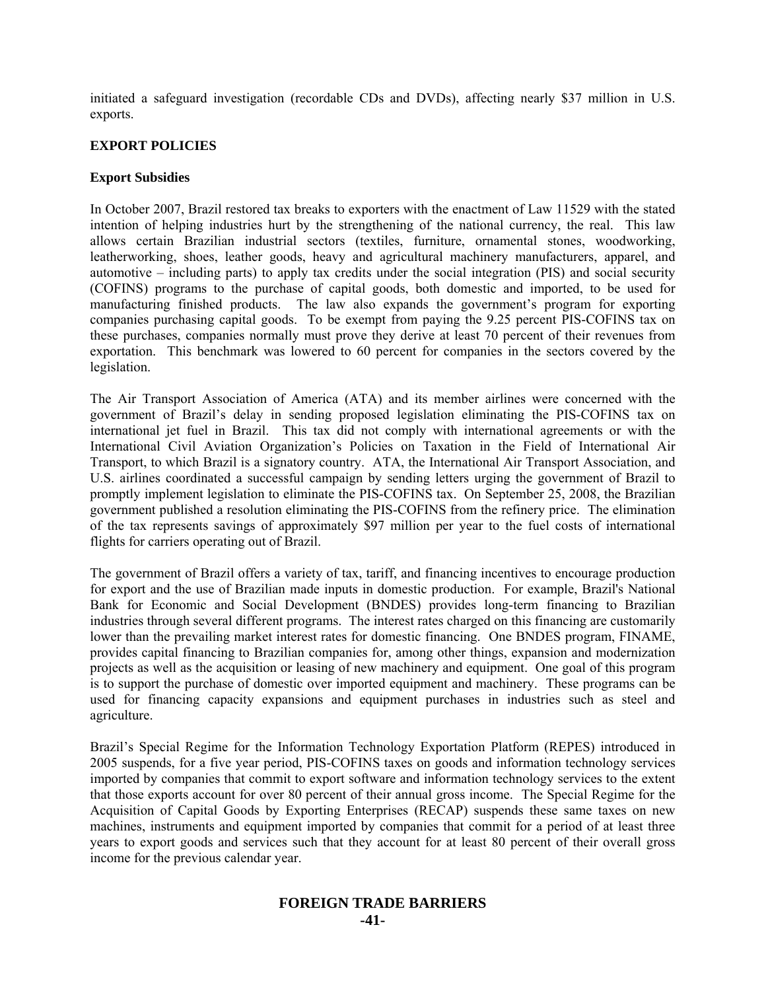initiated a safeguard investigation (recordable CDs and DVDs), affecting nearly \$37 million in U.S. exports.

# **EXPORT POLICIES**

# **Export Subsidies**

In October 2007, Brazil restored tax breaks to exporters with the enactment of Law 11529 with the stated intention of helping industries hurt by the strengthening of the national currency, the real. This law allows certain Brazilian industrial sectors (textiles, furniture, ornamental stones, woodworking, leatherworking, shoes, leather goods, heavy and agricultural machinery manufacturers, apparel, and automotive – including parts) to apply tax credits under the social integration (PIS) and social security (COFINS) programs to the purchase of capital goods, both domestic and imported, to be used for manufacturing finished products. The law also expands the government's program for exporting companies purchasing capital goods. To be exempt from paying the 9.25 percent PIS-COFINS tax on these purchases, companies normally must prove they derive at least 70 percent of their revenues from exportation. This benchmark was lowered to 60 percent for companies in the sectors covered by the legislation.

The Air Transport Association of America (ATA) and its member airlines were concerned with the government of Brazil's delay in sending proposed legislation eliminating the PIS-COFINS tax on international jet fuel in Brazil. This tax did not comply with international agreements or with the International Civil Aviation Organization's Policies on Taxation in the Field of International Air Transport, to which Brazil is a signatory country. ATA, the International Air Transport Association, and U.S. airlines coordinated a successful campaign by sending letters urging the government of Brazil to promptly implement legislation to eliminate the PIS-COFINS tax. On September 25, 2008, the Brazilian government published a resolution eliminating the PIS-COFINS from the refinery price. The elimination of the tax represents savings of approximately \$97 million per year to the fuel costs of international flights for carriers operating out of Brazil.

The government of Brazil offers a variety of tax, tariff, and financing incentives to encourage production for export and the use of Brazilian made inputs in domestic production. For example, Brazil's National Bank for Economic and Social Development (BNDES) provides long-term financing to Brazilian industries through several different programs. The interest rates charged on this financing are customarily lower than the prevailing market interest rates for domestic financing. One BNDES program, FINAME, provides capital financing to Brazilian companies for, among other things, expansion and modernization projects as well as the acquisition or leasing of new machinery and equipment. One goal of this program is to support the purchase of domestic over imported equipment and machinery. These programs can be used for financing capacity expansions and equipment purchases in industries such as steel and agriculture.

Brazil's Special Regime for the Information Technology Exportation Platform (REPES) introduced in 2005 suspends, for a five year period, PIS-COFINS taxes on goods and information technology services imported by companies that commit to export software and information technology services to the extent that those exports account for over 80 percent of their annual gross income. The Special Regime for the Acquisition of Capital Goods by Exporting Enterprises (RECAP) suspends these same taxes on new machines, instruments and equipment imported by companies that commit for a period of at least three years to export goods and services such that they account for at least 80 percent of their overall gross income for the previous calendar year.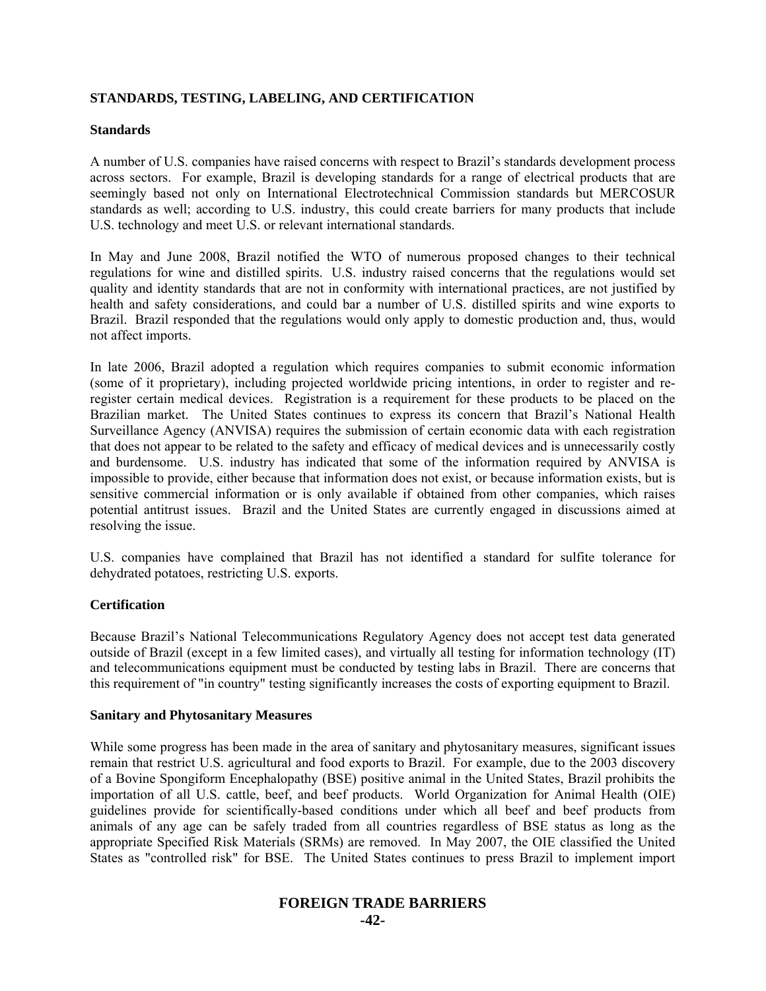# **STANDARDS, TESTING, LABELING, AND CERTIFICATION**

## **Standards**

A number of U.S. companies have raised concerns with respect to Brazil's standards development process across sectors. For example, Brazil is developing standards for a range of electrical products that are seemingly based not only on International Electrotechnical Commission standards but MERCOSUR standards as well; according to U.S. industry, this could create barriers for many products that include U.S. technology and meet U.S. or relevant international standards.

In May and June 2008, Brazil notified the WTO of numerous proposed changes to their technical regulations for wine and distilled spirits. U.S. industry raised concerns that the regulations would set quality and identity standards that are not in conformity with international practices, are not justified by health and safety considerations, and could bar a number of U.S. distilled spirits and wine exports to Brazil. Brazil responded that the regulations would only apply to domestic production and, thus, would not affect imports.

In late 2006, Brazil adopted a regulation which requires companies to submit economic information (some of it proprietary), including projected worldwide pricing intentions, in order to register and reregister certain medical devices. Registration is a requirement for these products to be placed on the Brazilian market. The United States continues to express its concern that Brazil's National Health Surveillance Agency (ANVISA) requires the submission of certain economic data with each registration that does not appear to be related to the safety and efficacy of medical devices and is unnecessarily costly and burdensome. U.S. industry has indicated that some of the information required by ANVISA is impossible to provide, either because that information does not exist, or because information exists, but is sensitive commercial information or is only available if obtained from other companies, which raises potential antitrust issues. Brazil and the United States are currently engaged in discussions aimed at resolving the issue.

U.S. companies have complained that Brazil has not identified a standard for sulfite tolerance for dehydrated potatoes, restricting U.S. exports.

# **Certification**

Because Brazil's National Telecommunications Regulatory Agency does not accept test data generated outside of Brazil (except in a few limited cases), and virtually all testing for information technology (IT) and telecommunications equipment must be conducted by testing labs in Brazil. There are concerns that this requirement of "in country" testing significantly increases the costs of exporting equipment to Brazil.

#### **Sanitary and Phytosanitary Measures**

While some progress has been made in the area of sanitary and phytosanitary measures, significant issues remain that restrict U.S. agricultural and food exports to Brazil. For example, due to the 2003 discovery of a Bovine Spongiform Encephalopathy (BSE) positive animal in the United States, Brazil prohibits the importation of all U.S. cattle, beef, and beef products. World Organization for Animal Health (OIE) guidelines provide for scientifically-based conditions under which all beef and beef products from animals of any age can be safely traded from all countries regardless of BSE status as long as the appropriate Specified Risk Materials (SRMs) are removed. In May 2007, the OIE classified the United States as "controlled risk" for BSE. The United States continues to press Brazil to implement import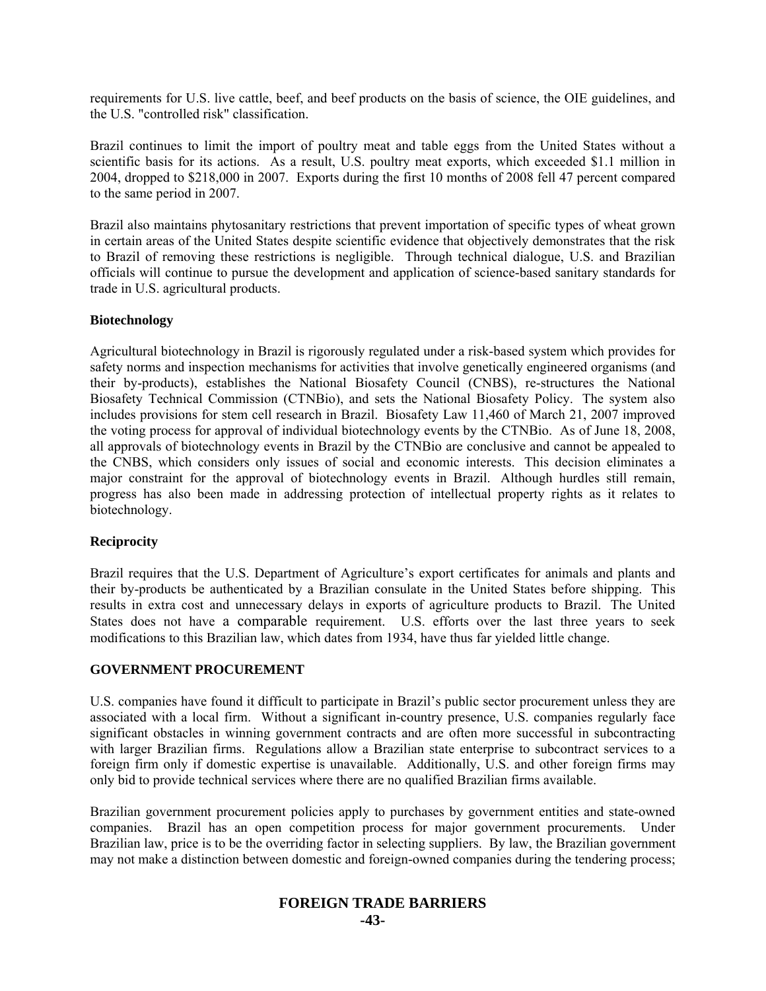requirements for U.S. live cattle, beef, and beef products on the basis of science, the OIE guidelines, and the U.S. "controlled risk" classification.

Brazil continues to limit the import of poultry meat and table eggs from the United States without a scientific basis for its actions. As a result, U.S. poultry meat exports, which exceeded \$1.1 million in 2004, dropped to \$218,000 in 2007. Exports during the first 10 months of 2008 fell 47 percent compared to the same period in 2007.

Brazil also maintains phytosanitary restrictions that prevent importation of specific types of wheat grown in certain areas of the United States despite scientific evidence that objectively demonstrates that the risk to Brazil of removing these restrictions is negligible. Through technical dialogue, U.S. and Brazilian officials will continue to pursue the development and application of science-based sanitary standards for trade in U.S. agricultural products.

#### **Biotechnology**

Agricultural biotechnology in Brazil is rigorously regulated under a risk-based system which provides for safety norms and inspection mechanisms for activities that involve genetically engineered organisms (and their by-products), establishes the National Biosafety Council (CNBS), re-structures the National Biosafety Technical Commission (CTNBio), and sets the National Biosafety Policy. The system also includes provisions for stem cell research in Brazil. Biosafety Law 11,460 of March 21, 2007 improved the voting process for approval of individual biotechnology events by the CTNBio. As of June 18, 2008, all approvals of biotechnology events in Brazil by the CTNBio are conclusive and cannot be appealed to the CNBS, which considers only issues of social and economic interests. This decision eliminates a major constraint for the approval of biotechnology events in Brazil. Although hurdles still remain, progress has also been made in addressing protection of intellectual property rights as it relates to biotechnology.

#### **Reciprocity**

Brazil requires that the U.S. Department of Agriculture's export certificates for animals and plants and their by-products be authenticated by a Brazilian consulate in the United States before shipping. This results in extra cost and unnecessary delays in exports of agriculture products to Brazil. The United States does not have a comparable requirement. U.S. efforts over the last three years to seek modifications to this Brazilian law, which dates from 1934, have thus far yielded little change.

#### **GOVERNMENT PROCUREMENT**

U.S. companies have found it difficult to participate in Brazil's public sector procurement unless they are associated with a local firm. Without a significant in-country presence, U.S. companies regularly face significant obstacles in winning government contracts and are often more successful in subcontracting with larger Brazilian firms. Regulations allow a Brazilian state enterprise to subcontract services to a foreign firm only if domestic expertise is unavailable. Additionally,  $\hat{U}$ .S. and other foreign firms may only bid to provide technical services where there are no qualified Brazilian firms available.

Brazilian government procurement policies apply to purchases by government entities and state-owned companies. Brazil has an open competition process for major government procurements. Under Brazilian law, price is to be the overriding factor in selecting suppliers. By law, the Brazilian government may not make a distinction between domestic and foreign-owned companies during the tendering process;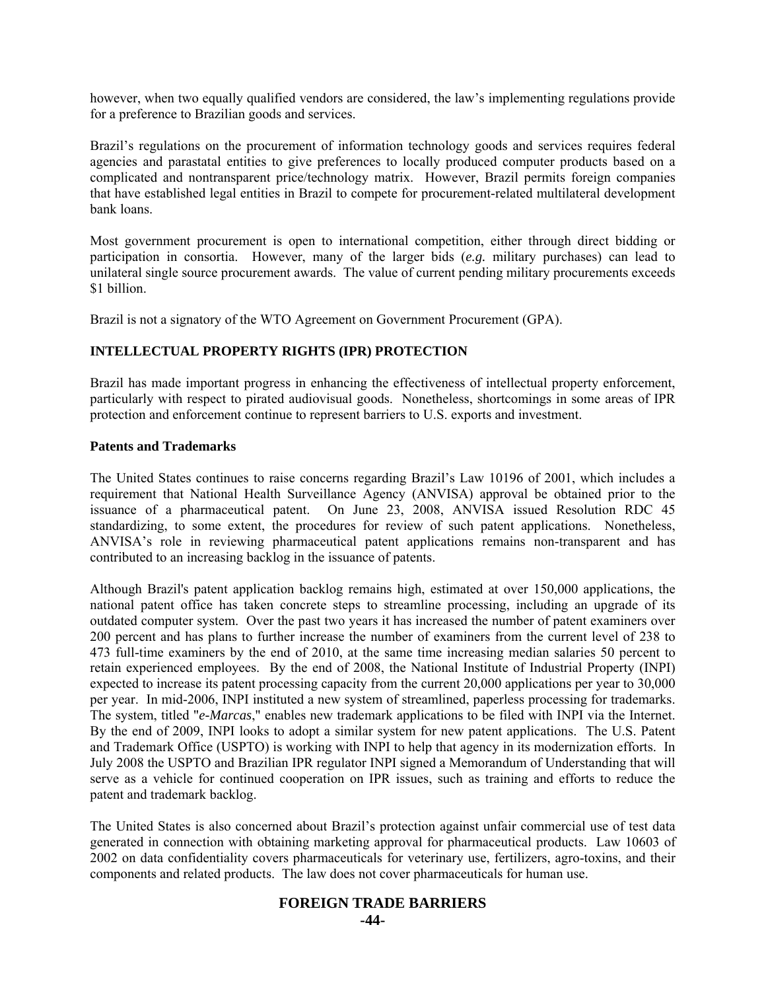however, when two equally qualified vendors are considered, the law's implementing regulations provide for a preference to Brazilian goods and services.

Brazil's regulations on the procurement of information technology goods and services requires federal agencies and parastatal entities to give preferences to locally produced computer products based on a complicated and nontransparent price/technology matrix. However, Brazil permits foreign companies that have established legal entities in Brazil to compete for procurement-related multilateral development bank loans.

Most government procurement is open to international competition, either through direct bidding or participation in consortia. However, many of the larger bids (*e.g.* military purchases) can lead to unilateral single source procurement awards. The value of current pending military procurements exceeds \$1 billion.

Brazil is not a signatory of the WTO Agreement on Government Procurement (GPA).

# **INTELLECTUAL PROPERTY RIGHTS (IPR) PROTECTION**

Brazil has made important progress in enhancing the effectiveness of intellectual property enforcement, particularly with respect to pirated audiovisual goods. Nonetheless, shortcomings in some areas of IPR protection and enforcement continue to represent barriers to U.S. exports and investment.

#### **Patents and Trademarks**

The United States continues to raise concerns regarding Brazil's Law 10196 of 2001, which includes a requirement that National Health Surveillance Agency (ANVISA) approval be obtained prior to the issuance of a pharmaceutical patent. On June 23, 2008, ANVISA issued Resolution RDC 45 standardizing, to some extent, the procedures for review of such patent applications. Nonetheless, ANVISA's role in reviewing pharmaceutical patent applications remains non-transparent and has contributed to an increasing backlog in the issuance of patents.

Although Brazil's patent application backlog remains high, estimated at over 150,000 applications, the national patent office has taken concrete steps to streamline processing, including an upgrade of its outdated computer system. Over the past two years it has increased the number of patent examiners over 200 percent and has plans to further increase the number of examiners from the current level of 238 to 473 full-time examiners by the end of 2010, at the same time increasing median salaries 50 percent to retain experienced employees. By the end of 2008, the National Institute of Industrial Property (INPI) expected to increase its patent processing capacity from the current 20,000 applications per year to 30,000 per year. In mid-2006, INPI instituted a new system of streamlined, paperless processing for trademarks. The system, titled "*e-Marcas*," enables new trademark applications to be filed with INPI via the Internet. By the end of 2009, INPI looks to adopt a similar system for new patent applications. The U.S. Patent and Trademark Office (USPTO) is working with INPI to help that agency in its modernization efforts. In July 2008 the USPTO and Brazilian IPR regulator INPI signed a Memorandum of Understanding that will serve as a vehicle for continued cooperation on IPR issues, such as training and efforts to reduce the patent and trademark backlog.

The United States is also concerned about Brazil's protection against unfair commercial use of test data generated in connection with obtaining marketing approval for pharmaceutical products. Law 10603 of 2002 on data confidentiality covers pharmaceuticals for veterinary use, fertilizers, agro-toxins, and their components and related products. The law does not cover pharmaceuticals for human use.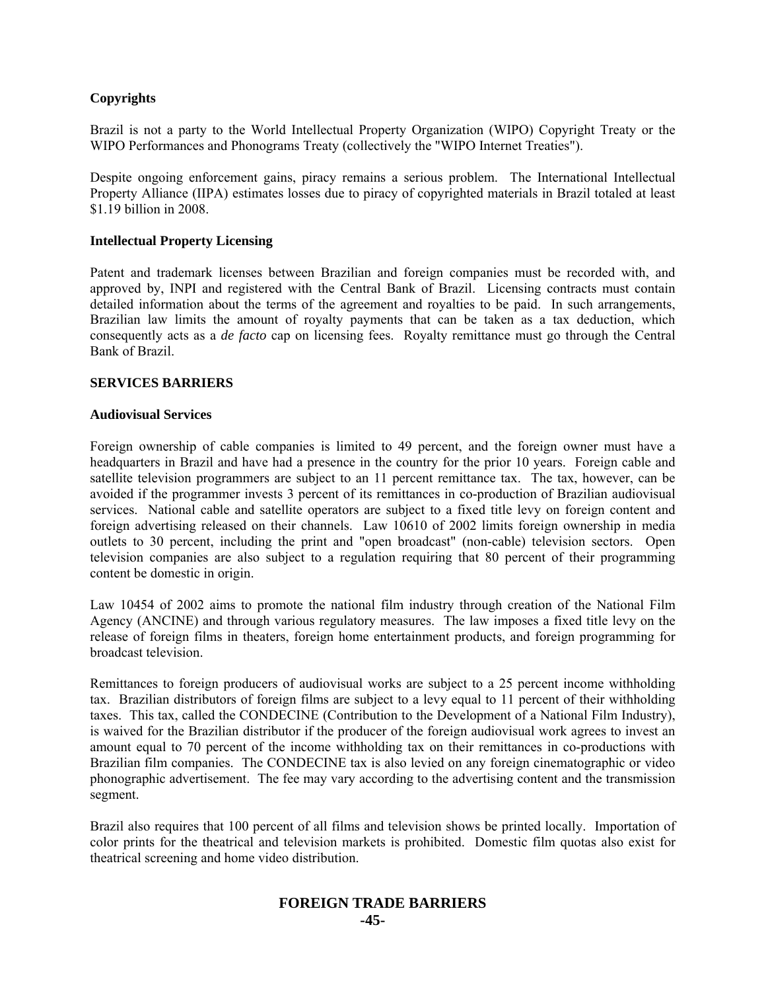# **Copyrights**

Brazil is not a party to the World Intellectual Property Organization (WIPO) Copyright Treaty or the WIPO Performances and Phonograms Treaty (collectively the "WIPO Internet Treaties").

Despite ongoing enforcement gains, piracy remains a serious problem. The International Intellectual Property Alliance (IIPA) estimates losses due to piracy of copyrighted materials in Brazil totaled at least \$1.19 billion in 2008.

## **Intellectual Property Licensing**

Patent and trademark licenses between Brazilian and foreign companies must be recorded with, and approved by, INPI and registered with the Central Bank of Brazil. Licensing contracts must contain detailed information about the terms of the agreement and royalties to be paid. In such arrangements, Brazilian law limits the amount of royalty payments that can be taken as a tax deduction, which consequently acts as a *de facto* cap on licensing fees. Royalty remittance must go through the Central Bank of Brazil.

#### **SERVICES BARRIERS**

#### **Audiovisual Services**

Foreign ownership of cable companies is limited to 49 percent, and the foreign owner must have a headquarters in Brazil and have had a presence in the country for the prior 10 years. Foreign cable and satellite television programmers are subject to an 11 percent remittance tax. The tax, however, can be avoided if the programmer invests 3 percent of its remittances in co-production of Brazilian audiovisual services. National cable and satellite operators are subject to a fixed title levy on foreign content and foreign advertising released on their channels. Law 10610 of 2002 limits foreign ownership in media outlets to 30 percent, including the print and "open broadcast" (non-cable) television sectors. Open television companies are also subject to a regulation requiring that 80 percent of their programming content be domestic in origin.

Law 10454 of 2002 aims to promote the national film industry through creation of the National Film Agency (ANCINE) and through various regulatory measures. The law imposes a fixed title levy on the release of foreign films in theaters, foreign home entertainment products, and foreign programming for broadcast television.

Remittances to foreign producers of audiovisual works are subject to a 25 percent income withholding tax. Brazilian distributors of foreign films are subject to a levy equal to 11 percent of their withholding taxes. This tax, called the CONDECINE (Contribution to the Development of a National Film Industry), is waived for the Brazilian distributor if the producer of the foreign audiovisual work agrees to invest an amount equal to 70 percent of the income withholding tax on their remittances in co-productions with Brazilian film companies. The CONDECINE tax is also levied on any foreign cinematographic or video phonographic advertisement. The fee may vary according to the advertising content and the transmission segment.

Brazil also requires that 100 percent of all films and television shows be printed locally. Importation of color prints for the theatrical and television markets is prohibited. Domestic film quotas also exist for theatrical screening and home video distribution.

#### **FOREIGN TRADE BARRIERS -45-**